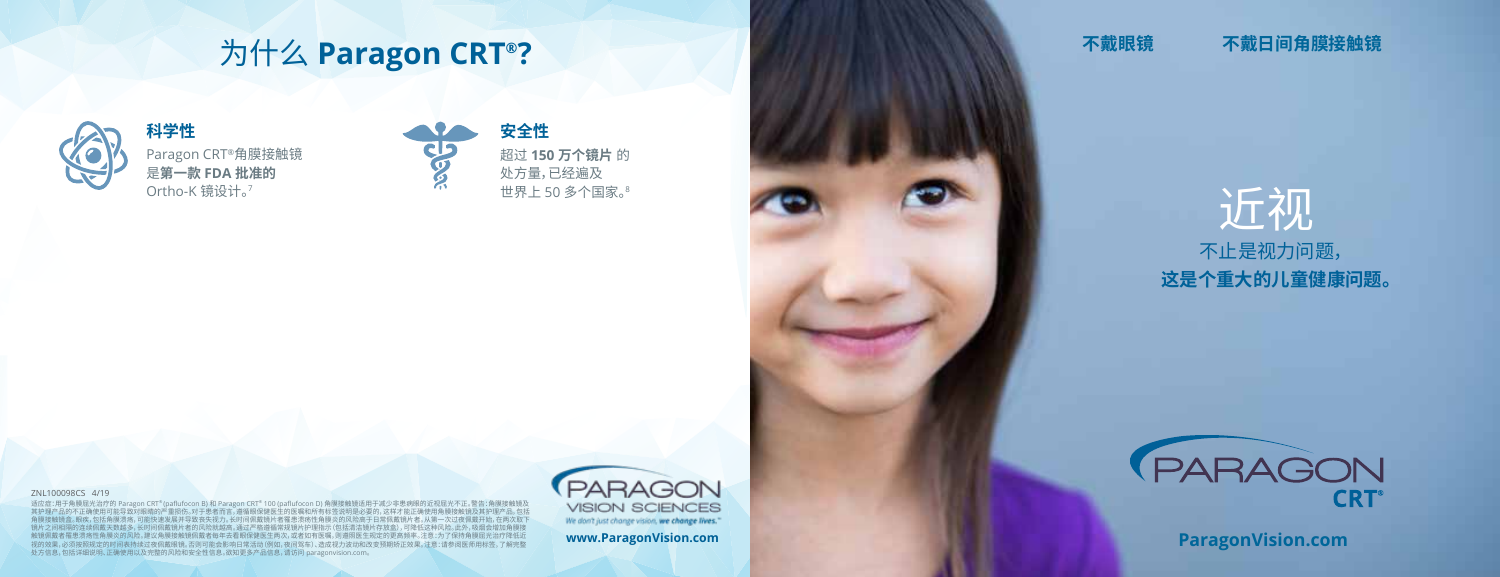# 为什么 **Paragon CRT®?**



Paragon CRT®角膜接触镜 是**第一款 FDA 批准的** Ortho-K 镜设计。<sup>7</sup>



超过 **150 万个镜片** 的 处方量,已经遍及 世界上 50 多个国家。<sup>8</sup>

### 不戴眼镜 不戴日间角膜接触镜



#### ZNL100098CS 4/19

适应症:用于角膜屈光治疗的 Paragon CRT® (paflufocon B) 和 Paragon CRT® 100 (paflufocon D) 角膜接触镜适用于减少非患病眼的近视屈光不正。警告:角膜接触镜及<br>其护理产品的不正确使用可能导致对眼睛的严重损伤。对于患者而言,遵循眼保健医生的医嘱和所有标签说明是必要的,这样才能正确使用角膜接触镜及其护理产品,包括 。眼疾,包括角膜溃疡,可能快速发展并导致丧失视力。长时间佩戴镜片者罹患溃疡性角膜炎的风险高于日常佩戴镜片者。从第一次过夜佩戴开始,在两次取下 。<br>《续佩戴天数越多,长时间佩戴镜片者的风险就越高。通过严格遵循常规镜片护理指示(包括清洁镜片存放盒),可降低这种风险。此外,吸烟会增加角膜接 触镜佩戴者罹患溃疡性角膜炎的风险。建议角膜接触镜佩戴者每年去看眼保健医生两次,或者如有医嘱,则遵照医生规定的更高频率。注意:为了保持角膜屈光治疗降低近 视的效果,必须按照规定的时间表持续过夜佩戴眼镜。否则可能会影响日常活动(例如,夜间驾车)、造成视力波动和改变预期矫正效果。注意:请参阅医师用标签,了解完整 处方信息,包括详细说明、正确使用以及完整的风险和安全性信息。欲知更多产品信息,请访问 paragonvision.com。



**www.ParagonVision.com**



**ParagonVision.com**